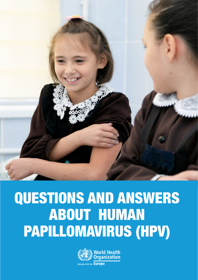

# QUESTIONS AND ANSWERS ABOUT HUMAN PAPILLOMAVIRUS (HPV)

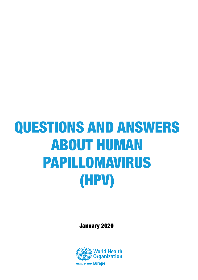# QUESTIONS AND ANSWERS ABOUT HUMAN PAPILLOMAVIRUS (HPV)

January 2020

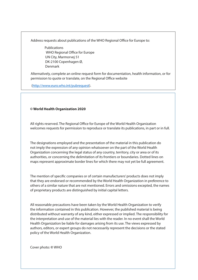Address requests about publications of the WHO Regional Office for Europe to:

 Publications WHO Regional Office for Europe UN City, Marmorvej 51 DK-2100 Copenhagen Ø, Denmark

Alternatively, complete an online request form for documentation, health information, or for permission to quote or translate, on the Regional Office website

(<http://www.euro.who.int/pubrequest>).

#### **© World Health Organization 2020**

All rights reserved. The Regional Office for Europe of the World Health Organization welcomes requests for permission to reproduce or translate its publications, in part or in full.

The designations employed and the presentation of the material in this publication do not imply the expression of any opinion whatsoever on the part of the World Health Organization concerning the legal status of any country, territory, city or area or of its authorities, or concerning the delimitation of its frontiers or boundaries. Dotted lines on maps represent approximate border lines for which there may not yet be full agreement.

The mention of specific companies or of certain manufacturers' products does not imply that they are endorsed or recommended by the World Health Organization in preference to others of a similar nature that are not mentioned. Errors and omissions excepted, the names of proprietary products are distinguished by initial capital letters.

All reasonable precautions have been taken by the World Health Organization to verify the information contained in this publication. However, the published material is being distributed without warranty of any kind, either expressed or implied. The responsibility for the interpretation and use of the material lies with the reader. In no event shall the World Health Organization be liable for damages arising from its use. The views expressed by authors, editors, or expert groups do not necessarily represent the decisions or the stated policy of the World Health Organization.

Cover photo: **©** WHO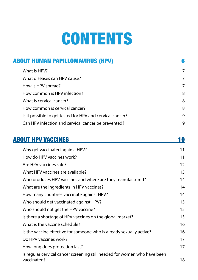# **CONTENTS**

| <b>ABOUT HUMAN PAPILLOMAVIRUS (HPV)</b>                   | li             |  |
|-----------------------------------------------------------|----------------|--|
| What is HPV?                                              | $\overline{7}$ |  |
| What diseases can HPV cause?                              | 7              |  |
| How is HPV spread?                                        | $\overline{7}$ |  |
| How common is HPV infection?                              | 8              |  |
| What is cervical cancer?                                  | 8              |  |
| How common is cervical cancer?                            | 8              |  |
| Is it possible to get tested for HPV and cervical cancer? | 9              |  |
| Can HPV infection and cervical cancer be prevented?       | 9              |  |
|                                                           |                |  |

| <b>ABOUT HPV VACCINES</b>                                                                | 10 |
|------------------------------------------------------------------------------------------|----|
| Why get vaccinated against HPV?                                                          | 11 |
| How do HPV vaccines work?                                                                | 11 |
| Are HPV vaccines safe?                                                                   | 12 |
| What HPV vaccines are available?                                                         | 13 |
| Who produces HPV vaccines and where are they manufactured?                               | 14 |
| What are the ingredients in HPV vaccines?                                                | 14 |
| How many countries vaccinate against HPV?                                                | 14 |
| Who should get vaccinated against HPV?                                                   | 15 |
| Who should not get the HPV vaccine?                                                      | 15 |
| Is there a shortage of HPV vaccines on the global market?                                | 15 |
| What is the vaccine schedule?                                                            | 16 |
| Is the vaccine effective for someone who is already sexually active?                     | 16 |
| Do HPV vaccines work?                                                                    | 17 |
| How long does protection last?                                                           | 17 |
| Is regular cervical cancer screening still needed for women who have been<br>vaccinated? | 18 |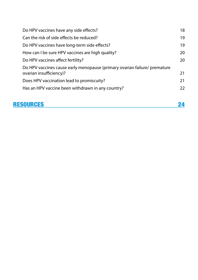| RESOURCES                                                                                            |    |
|------------------------------------------------------------------------------------------------------|----|
| Has an HPV vaccine been withdrawn in any country?                                                    | 22 |
| Does HPV vaccination lead to promiscuity?                                                            | 21 |
| Do HPV vaccines cause early menopause (primary ovarian failure/ premature<br>ovarian insufficiency)? | 21 |
| Do HPV vaccines affect fertility?                                                                    | 20 |
| How can I be sure HPV vaccines are high quality?                                                     | 20 |
| Do HPV vaccines have long-term side effects?                                                         | 19 |
| Can the risk of side effects be reduced?                                                             | 19 |
| Do HPV vaccines have any side effects?                                                               | 18 |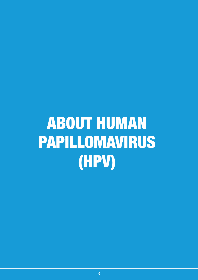# <span id="page-5-0"></span>ABOUT HUMAN PAPILLOMAVIRUS (HPV)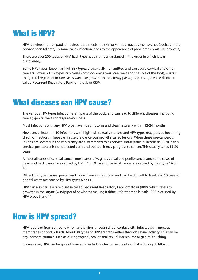## <span id="page-6-0"></span>What is HPV?

HPV is a virus (human papillomavirus) that infects the skin or various mucous membranes (such as in the cervix or genital area). In some cases infection leads to the appearance of papillomas (wart-like growths).

There are over 200 types of HPV. Each type has a number (assigned in the order in which it was discovered).

Some HPV types, known as high risk types, are sexually transmitted and can cause cervical and other cancers. Low-risk HPV types can cause common warts, verrucae (warts on the sole of the foot), warts in the genital region, or in rare cases wart-like growths in the airway passages (causing a voice disorder called Recurrent Respiratory Papillomatosis or RRP).

#### What diseases can HPV cause?

The various HPV types infect different parts of the body, and can lead to different diseases, including cancer, genital warts or respiratory illness.

Most infections with any HPV type have no symptoms and clear naturally within 12-24 months.

However, at least 1 in 10 infections with high-risk, sexually transmitted HPV types may persist, becoming chronic infections. These can cause pre-cancerous growths called lesions. When these pre-cancerous lesions are located in the cervix they are also referred to as cervical intraepithelial neoplasia (CIN). If this cervical pre-cancer is not detected early and treated, it may progress to cancer. This usually takes 15-20 years.

Almost all cases of cervical cancer, most cases of vaginal, vulval and penile cancer and some cases of head and neck cancer are caused by HPV. 7 in 10 cases of cervical cancer are caused by HPV type 16 or 18.

Other HPV types cause genital warts, which are easily spread and can be difficult to treat. 9 in 10 cases of genital warts are caused by HPV types 6 or 11.

HPV can also cause a rare disease called Recurrent Respiratory Papillomatosis (RRP), which refers to growths in the larynx (windpipe) of newborns making it difficult for them to breath. RRP is caused by HPV types 6 and 11.

#### How is HPV spread?

HPV is spread from someone who has the virus through direct contact with infected skin, mucous membranes or bodily fluids. About 30 types of HPV are transmitted through sexual activity. This can be any intimate contact, such as during vaginal, oral or anal sexual intercourse or genital touching.

In rare cases, HPV can be spread from an infected mother to her newborn baby during childbirth.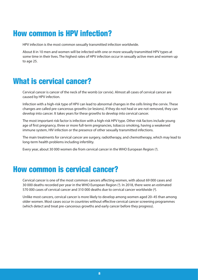## <span id="page-7-0"></span>How common is HPV infection?

HPV infection is the most common sexually transmitted infection worldwide.

About 8 in 10 men and women will be infected with one or more sexually transmitted HPV types at some time in their lives. The highest rates of HPV infection occur in sexually active men and women up to age 25.

#### What is cervical cancer?

Cervical cancer is cancer of the neck of the womb (or cervix). Almost all cases of cervical cancer are caused by HPV infection.

Infection with a high-risk type of HPV can lead to abnormal changes in the cells lining the cervix. These changes are called pre-cancerous growths (or lesions). If they do not heal or are not removed, they can develop into cancer. It takes years for these growths to develop into cervical cancer.

The most important risk factor is infection with a high-risk HPV type. Other risk factors include young age of first pregnancy, three or more full-term pregnancies, tobacco smoking, having a weakened immune system, HIV infection or the presence of other sexually transmitted infections.

The main treatments for cervical cancer are surgery, radiotherapy, and chemotherapy, which may lead to long-term health problems including infertility.

Every year, about 30 000 women die from cervical cancer in the WHO European Region (*1*).

#### How common is cervical cancer?

Cervical cancer is one of the most common cancers affecting women, with about 69 000 cases and 30 000 deaths recorded per year in the WHO European Region (*1*). In 2018, there were an estimated 570 000 cases of cervical cancer and 310 000 deaths due to cervical cancer worldwide (*2*).

Unlike most cancers, cervical cancer is more likely to develop among women aged 20–45 than among older women. Most cases occur in countries without effective cervical cancer screening programmes (which detect and treat pre-cancerous growths and early cancer before they progress).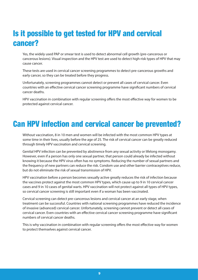# <span id="page-8-0"></span>Is it possible to get tested for HPV and cervical cancer?

Yes, the widely used PAP or smear test is used to detect abnormal cell growth (pre-cancerous or cancerous lesions). Visual inspection and the HPV test are used to detect high-risk types of HPV that may cause cancer.

These tests are used in cervical cancer screening programmes to detect pre-cancerous growths and early cancer, so they can be treated before they progress.

Unfortunately, screening programmes cannot detect or prevent all cases of cervical cancer. Even countries with an effective cervical cancer screening programme have significant numbers of cervical cancer deaths.

HPV vaccination in combination with regular screening offers the most effective way for women to be protected against cervical cancer.

#### Can HPV infection and cervical cancer be prevented?

Without vaccination, 8 in 10 men and women will be infected with the most common HPV types at some time in their lives, usually before the age of 25. The risk of cervical cancer can be greatly reduced through timely HPV vaccination and cervical screening.

Genital HPV infection can be prevented by abstinence from any sexual activity or lifelong monogamy. However, even if a person has only one sexual partner, that person could already be infected without knowing it because the HPV virus often has no symptoms. Reducing the number of sexual partners and the frequency of new partners can reduce the risk. Condom use and other barrier contraceptives reduce, but do not eliminate the risk of sexual transmission of HPV.

HPV vaccination before a person becomes sexually active greatly reduces the risk of infection because the vaccines protect against the most common HPV types, which cause up to 9 in 10 cervical cancer cases and 9 in 10 cases of genital warts. HPV vaccination will not protect against all types of HPV types, so cervical cancer screening is still important even if a woman has been vaccinated.

Cervical screening can detect pre-cancerous lesions and cervical cancer at an early stage, when treatment can be successful. Countries with national screening programmes have reduced the incidence of invasive (advanced) cervical cancer. Unfortunately, screening cannot prevent or detect all cases of cervical cancer. Even countries with an effective cervical cancer screening programme have significant numbers of cervical cancer deaths.

This is why vaccination in combination with regular screening offers the most effective way for women to protect themselves against cervical cancer.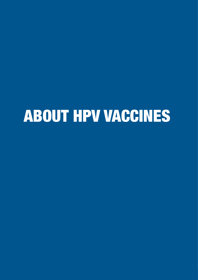# <span id="page-9-0"></span>ABOUT HPV VACCINES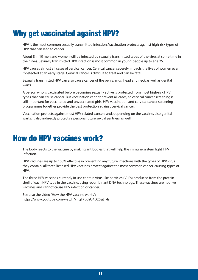# <span id="page-10-0"></span>Why get vaccinated against HPV?

HPV is the most common sexually transmitted infection. Vaccination protects against high-risk types of HPV that can lead to cancer.

About 8 in 10 men and women will be infected by sexually transmitted types of the virus at some time in their lives. Sexually transmitted HPV infection is most common in young people up to age 25.

HPV causes almost all cases of cervical cancer. Cervical cancer severely impacts the lives of women even if detected at an early stage. Cervical cancer is difficult to treat and can be fatal.

Sexually transmitted HPV can also cause cancer of the penis, anus, head and neck as well as genital warts.

A person who is vaccinated before becoming sexually active is protected from most high-risk HPV types that can cause cancer. But vaccination cannot prevent all cases, so cervical cancer screening is still important for vaccinated and unvaccinated girls. HPV vaccination and cervical cancer screening programmes together provide the best protection against cervical cancer.

Vaccination protects against most HPV-related cancers and, depending on the vaccine, also genital warts. It also indirectly protects a person's future sexual partners as well.

#### How do HPV vaccines work?

The body reacts to the vaccine by making antibodies that will help the immune system fight HPV infection.

HPV vaccines are up to 100% effective in preventing any future infections with the types of HPV virus they contain; all three licensed HPV vaccines protect against the most common cancer-causing types of HPV.

The three HPV vaccines currently in use contain virus-like particles (VLPs) produced from the protein shell of each HPV type in the vaccine, using recombinant DNA technology. These vaccines are not live vaccines and cannot cause HPV infection or cancer.

See also the video "How the HPV vaccine works": <https://www.youtube.com/watch?v=qF7pBzU4D20&t=4s>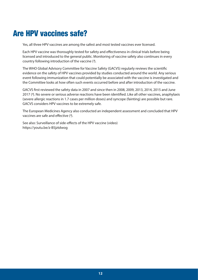## <span id="page-11-0"></span>Are HPV vaccines safe?

Yes, all three HPV vaccines are among the safest and most tested vaccines ever licensed.

Each HPV vaccine was thoroughly tested for safety and effectiveness in clinical trials before being licensed and introduced to the general public. Monitoring of vaccine safety also continues in every country following introduction of the vaccine (*3*).

The WHO Global Advisory Committee for Vaccine Safety (GACVS) regularly reviews the scientific evidence on the safety of HPV vaccines provided by studies conducted around the world. Any serious event following immunization that could potentially be associated with the vaccine is investigated and the Committee looks at how often such events occurred before and after introduction of the vaccine.

GACVS first reviewed the safety data in 2007 and since then in 2008, 2009, 2013, 2014, 2015 and June 2017 (*4*). No severe or serious adverse reactions have been identified. Like all other vaccines, anaphylaxis (severe allergic reactions in 1.7 cases per million doses) and syncope (fainting) are possible but rare. GACVS considers HPV vaccines to be extremely safe.

The European Medicines Agency also conducted an independent assessment and concluded that HPV vaccines are safe and effective (*5*).

See also: Surveillance of side-effects of the HPV vaccine (video) <https://youtu.be/z-B5jztdwog>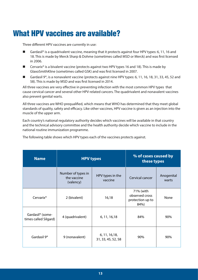## <span id="page-12-0"></span>What HPV vaccines are available?

Three different HPV vaccines are currently in use:

- Gardasil® is a quadrivalent vaccine, meaning that it protects against four HPV types: 6, 11, 16 and 18. This is made by Merck Sharp & Dohme (sometimes called MSD or Merck) and was first licensed in 2006.
- Cervarix® is a bivalent vaccine (protects against two HPV types 16 and 18). This is made by GlaxoSmithKline (sometimes called GSK) and was first licensed in 2007.
- Gardasil 9®, is a nonavalent vaccine (protects against nine HPV types: 6, 11, 16, 18, 31, 33, 45, 52 and 58). This is made by MSD and was first licensed in 2014.

All three vaccines are very effective in preventing infection with the most common HPV types that cause cervical cancer and several other HPV-related cancers. The quadrivalent and nonavalent vaccines also prevent genital warts.

All three vaccines are WHO prequalified, which means that WHO has determined that they meet global standards of quality, safety and efficacy. Like other vaccines, HPV vaccine is given as an injection into the muscle of the upper arm.

Each country's national regulatory authority decides which vaccines will be available in that country and the technical advisory committee and the health authority decide which vaccine to include in the national routine immunization programme.

| <b>Name</b>                                           | <b>HPV types</b>                               |                                      | % of cases caused by<br>these types                     |                     |
|-------------------------------------------------------|------------------------------------------------|--------------------------------------|---------------------------------------------------------|---------------------|
|                                                       | Number of types in<br>the vaccine<br>(valency) | HPV types in the<br>vaccine          | Cervical cancer                                         | Anogenital<br>warts |
| Cervarix <sup>®</sup>                                 | 2 (bivalent)                                   | 16,18                                | 71% (with<br>observed cross<br>protection up to<br>84%) | None                |
| Gardasil <sup>®</sup> (some-<br>times called Silgard) | 4 (quadrivalent)                               | 6, 11, 16, 18                        | 84%                                                     | 90%                 |
| Gardasil 9 <sup>®</sup>                               | 9 (nonavalent)                                 | 6, 11, 16, 18,<br>31, 33, 45, 52, 58 | 90%                                                     | 90%                 |

The following table shows which HPV types each of the vaccines protects against.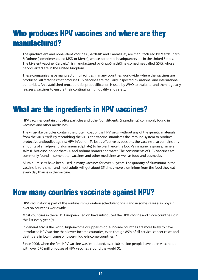## <span id="page-13-0"></span>Who produces HPV vaccines and where are they manufactured?

The quadrivalent and nonavalent vaccines (Gardasil® and Gardasil 9®) are manufactured by Merck Sharp & Dohme (sometimes called MSD or Merck), whose corporate headquarters are in the United States. The bivalent vaccine (Cervarix®) is manufactured by GlaxoSmithKline (sometimes called GSK), whose headquarters are in the United Kingdom.

These companies have manufacturing facilities in many countries worldwide, where the vaccines are produced. All factories that produce HPV vaccines are regularly inspected by national and international authorities. An established procedure for prequalification is used by WHO to evaluate, and then regularly reassess, vaccines to ensure their continuing high quality and safety.

#### What are the ingredients in HPV vaccines?

HPV vaccines contain virus-like particles and other 'constituents' (ingredients) commonly found in vaccines and other medicines.

The virus-like particles contain the protein coat of the HPV virus, without any of the genetic materials from the virus itself. By resembling the virus, the vaccine stimulates the immune system to produce protective antibodies against HPV infection. To be as effective as possible, the vaccine also contains tiny amounts of an adjuvant (aluminium sulphate) to help enhance the body's immune response, mineral salts (L-histidine, polysorbate 80 and sodium borate) and water. The constituents of HPV vaccines are commonly found in some other vaccines and other medicines as well as food and cosmetics.

Aluminium salts have been used in many vaccines for over 50 years. The quantity of aluminium in the vaccine is very small and most adults will get about 35 times more aluminium from the food they eat every day than is in the vaccine.

#### How many countries vaccinate against HPV?

HPV vaccination is part of the routine immunization schedule for girls and in some cases also boys in over 96 countries worldwide.

Most countries in the WHO European Region have introduced the HPV vaccine and more countries join this list every year (*6*).

In general across the world, high-income or upper-middle-income countries are more likely to have introduced HPV vaccine than lower-income countries, even though 85% of all cervical cancer cases and deaths are in low-income or lower-middle-income countries (*7*).

Since 2006, when the first HPV vaccine was introduced, over 100 million people have been vaccinated with over 270 million doses of HPV vaccines around the world (*8*).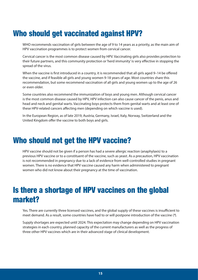# <span id="page-14-0"></span>Who should get vaccinated against HPV?

WHO recommends vaccination of girls between the age of 9 to 14 years as a priority, as the main aim of HPV vaccination programmes is to protect women from cervical cancer.

Cervical cancer is the most common disease caused by HPV. Vaccinating girls also provides protection to their future partners, and this community protection or 'herd immunity' is very effective in stopping the spread of the virus.

When the vaccine is first introduced in a country, it is recommended that all girls aged 9–14 be offered the vaccine, and if feasible all girls and young women 9-18 years of age. Most countries share this recommendation, but some recommend vaccination of all girls and young women up to the age of 26 or even older.

Some countries also recommend the immunization of boys and young men. Although cervical cancer is the most common disease caused by HPV, HPV infection can also cause cancer of the penis, anus and head and neck and genital warts. Vaccinating boys protects them from genital warts and at least one of these HPV-related cancers affecting men (depending on which vaccine is used).

In the European Region, as of late 2019, Austria, Germany, Israel, Italy, Norway, Switzerland and the United Kingdom offer the vaccine to both boys and girls.

## Who should not get the HPV vaccine?

HPV vaccine should not be given if a person has had a severe allergic reaction (anaphylaxis) to a previous HPV vaccine or to a constituent of the vaccine, such as yeast. As a precaution, HPV vaccination is not recommended in pregnancy due to a lack of evidence from well-controlled studies in pregnant women. There is no evidence that HPV vaccine caused any harm when administered to pregnant women who did not know about their pregnancy at the time of vaccination.

# Is there a shortage of HPV vaccines on the global market?

Yes. There are currently three licensed vaccines, and the global supply of these vaccines is insufficient to meet demand. As a result, some countries have had to or will postpone introduction of the vaccine (*9*).

Supply shortages are expected until 2024. This expectation may change depending on HPV vaccination strategies in each country, planned capacity of the current manufacturers as well as the progress of three other HPV vaccines which are in their advanced stage of clinical development.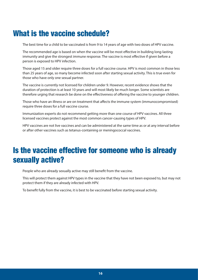## <span id="page-15-0"></span>What is the vaccine schedule?

The best time for a child to be vaccinated is from 9 to 14 years of age with two doses of HPV vaccine.

The recommended age is based on when the vaccine will be most effective in building long-lasting immunity and give the strongest immune response. The vaccine is most effective if given before a person is exposed to HPV infection.

Those aged 15 and older require three doses for a full vaccine course. HPV is most common in those less than 25 years of age, so many become infected soon after starting sexual activity. This is true even for those who have only one sexual partner.

The vaccine is currently not licensed for children under 9. However, recent evidence shows that the duration of protection is at least 10 years and will most likely be much longer. Some scientists are therefore urging that research be done on the effectiveness of offering the vaccine to younger children.

Those who have an illness or are on treatment that affects the immune system (immunocompromised) require three doses for a full vaccine course.

Immunization experts do not recommend getting more than one course of HPV vaccines. All three licensed vaccines protect against the most common cancer-causing types of HPV.

HPV vaccines are not live vaccines and can be administered at the same time as or at any interval before or after other vaccines such as tetanus-containing or meningococcal vaccines.

## Is the vaccine effective for someone who is already sexually active?

People who are already sexually active may still benefit from the vaccine.

This will protect them against HPV types in the vaccine that they have not been exposed to, but may not protect them if they are already infected with HPV.

To benefit fully from the vaccine, it is best to be vaccinated before starting sexual activity.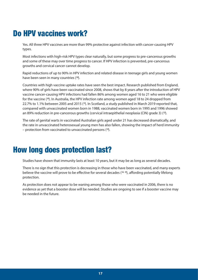# <span id="page-16-0"></span>Do HPV vaccines work?

Yes. All three HPV vaccines are more than 99% protective against infection with cancer-causing HPV types.

Most infections with high-risk HPV types clear naturally, but some progress to pre-cancerous growths and some of these may over time progress to cancer. If HPV infection is prevented, pre-cancerous growths and cervical cancer cannot develop.

Rapid reductions of up to 90% in HPV infection and related disease in teenage girls and young women have been seen in many countries (*10*).

Countries with high vaccine uptake rates have seen the best impact. Research published from England, where 90% of girls have been vaccinated since 2008, shows that by 8 years after the introduction of HPV vaccine cancer-causing HPV infections had fallen 86% among women aged 16 to 21 who were eligible for the vaccine (*10*). In Australia, the HPV infection rate among women aged 18 to 24 dropped from 22.7% to 1.1% between 2005 and 2015 (*11*). In Scotland, a study published in March 2019 reported that, compared with unvaccinated women born in 1988, vaccinated women born in 1995 and 1996 showed an 89% reduction in pre-cancerous growths (cervical intraepithelial neoplasia (CIN) grade 3) (*12*).

The rate of genital warts in vaccinated Australian girls aged under 21 has decreased dramatically, and the rate in unvaccinated heterosexual young men has also fallen, showing the impact of herd immunity – protection from vaccinated to unvaccinated persons (*13*).

#### How long does protection last?

Studies have shown that immunity lasts at least 10 years, but it may be as long as several decades.

There is no sign that this protection is decreasing in those who have been vaccinated, and many experts believe the vaccine will prove to be effective for several decades (*14, 15*), affording potentially lifelong protection.

As protection does not appear to be waning among those who were vaccinated in 2006, there is no evidence as yet that a booster dose will be needed. Studies are ongoing to see if a booster vaccine may be needed in the future.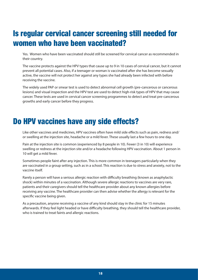# <span id="page-17-0"></span>Is regular cervical cancer screening still needed for women who have been vaccinated?

Yes. Women who have been vaccinated should still be screened for cervical cancer as recommended in their country.

The vaccine protects against the HPV types that cause up to 9 in 10 cases of cervical cancer, but it cannot prevent all potential cases. Also, if a teenager or woman is vaccinated after she has become sexually active, the vaccine will not protect her against any types she had already been infected with before receiving the vaccine.

The widely used PAP or smear test is used to detect abnormal cell growth (pre-cancerous or cancerous lesions) and visual inspection and the HPV test are used to detect high-risk types of HPV that may cause cancer. These tests are used in cervical cancer screening programmes to detect and treat pre-cancerous growths and early cancer before they progress.

#### Do HPV vaccines have any side effects?

Like other vaccines and medicines, HPV vaccines often have mild side effects such as pain, redness and/ or swelling at the injection site, headache or a mild fever. These usually last a few hours to one day.

Pain at the injection site is common (experienced by 8 people in 10). Fewer (3 in 10) will experience swelling or redness at the injection site and/or a headache following HPV vaccination. About 1 person in 10 will get a mild fever.

Sometimes people faint after any injection. This is more common in teenagers particularly when they are vaccinated in a group setting, such as in a school. This reaction is due to stress and anxiety, not to the vaccine itself.

Rarely a person will have a serious allergic reaction with difficulty breathing (known as anaphylactic shock) within minutes of a vaccination. Although severe allergic reactions to vaccines are very rare, patients and their caregivers should tell the healthcare provider about any known allergies before receiving any vaccine. The healthcare provider can then advise whether the allergy is relevant for the specific vaccine being given.

As a precaution, anyone receiving a vaccine of any kind should stay in the clinic for 15 minutes afterwards. If they feel light headed or have difficulty breathing, they should tell the healthcare provider, who is trained to treat faints and allergic reactions.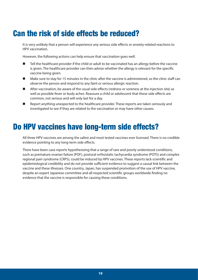# <span id="page-18-0"></span>Can the risk of side effects be reduced?

It is very unlikely that a person will experience any serious side effects or anxiety-related reactions to HPV vaccination.

However, the following actions can help ensure that vaccination goes well.

- Tell the healthcare provider if the child or adult to be vaccinated has an allergy before the vaccine is given. The healthcare provider can then advise whether the allergy is relevant for the specific vaccine being given.
- Make sure to stay for 15 minutes in the clinic after the vaccine is administered, so the clinic staff can observe the person and respond to any faint or serious allergic reaction.
- After vaccination, be aware of the usual side effects (redness or soreness at the injection site) as well as possible fever or body aches. Reassure a child or adolescent that these side effects are common, not serious and will only last for a day.
- Report anything unexpected to the healthcare provider. These reports are taken seriously and investigated to see if they are related to the vaccination or may have other causes.

#### Do HPV vaccines have long-term side effects?

All three HPV vaccines are among the safest and most tested vaccines ever licensed. There is no credible evidence pointing to any long-term side effects.

There have been case reports hypothesising that a range of rare and poorly understood conditions, such as premature ovarian failure (POF), postural orthostatic tachycardia syndrome (POTS) and complex regional pain syndrome (CRPS), could be induced by HPV vaccines. These reports lack scientific and epidemiological credibility and do not provide sufficient evidence to suggest a causal link between the vaccine and these illnesses. One country, Japan, has suspended promotion of the use of HPV vaccine, despite an expert Japanese committee and all respected scientific groups worldwide finding no evidence that the vaccine is responsible for causing these conditions.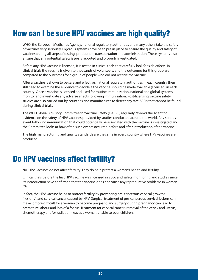# <span id="page-19-0"></span>How can I be sure HPV vaccines are high quality?

WHO, the European Medicines Agency, national regulatory authorities and many others take the safety of vaccines very seriously. Rigorous systems have been put in place to ensure the quality and safety of vaccines during all steps of testing, production, transportation and administration. These systems also ensure that any potential safety issue is reported and properly investigated.

Before any HPV vaccine is licensed, it is tested in clinical trials that carefully look for side effects. In clinical trials the vaccine is given to thousands of volunteers, and the outcomes for this group are compared to the outcomes for a group of people who did not receive the vaccine.

After a vaccine is shown to be safe and effective, national regulatory authorities in each country then still need to examine the evidence to decide if the vaccine should be made available (licensed) in each country. Once a vaccine is licensed and used for routine immunization, national and global systems monitor and investigate any adverse effects following immunization. Post-licensing vaccine safety studies are also carried out by countries and manufactures to detect any rare AEFIs that cannot be found during clinical trials.

The WHO Global Advisory Committee for Vaccine Safety (GACVS) regularly reviews the scientific evidence on the safety of HPV vaccines provided by studies conducted around the world. Any serious event following immunization that could potentially be associated with the vaccine is investigated and the Committee looks at how often such events occurred before and after introduction of the vaccine.

The high manufacturing and quality standards are the same in every country where HPV vaccines are produced.

## Do HPV vaccines affect fertility?

No. HPV vaccines do not affect fertility. They do help protect a woman's health and fertility.

Clinical trials before the first HPV vaccine was licensed in 2006 and safety monitoring and studies since its introduction have confirmed that the vaccine does not cause any reproductive problems in women (*16*).

In fact, the HPV vaccine helps to protect fertility by preventing pre-cancerous cervical growths ('lesions') and cervical cancer caused by HPV. Surgical treatment of pre-cancerous cervical lesions can make it more difficult for a woman to become pregnant, and surgery during pregnancy can lead to premature labour and loss of a foetus. Treatment for cervical cancer (removal of the cervix and uterus, chemotherapy and/or radiation) leaves a woman unable to bear children.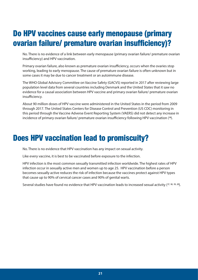# <span id="page-20-0"></span>Do HPV vaccines cause early menopause (primary ovarian failure/ premature ovarian insufficiency)?

No. There is no evidence of a link between early menopause (primary ovarian failure/ premature ovarian insufficiency) and HPV vaccination.

Primary ovarian failure, also known as premature ovarian insufficiency, occurs when the ovaries stop working, leading to early menopause. The cause of premature ovarian failure is often unknown but in some cases it may be due to cancer treatment or an autoimmune disease.

The WHO Global Advisory Committee on Vaccine Safety (GACVS) reported in 2017 after reviewing large population level data from several countries including Denmark and the United States that it saw no evidence for a causal association between HPV vaccine and primary ovarian failure/ premature ovarian insufficiency.

About 90 million doses of HPV vaccine were administered in the United States in the period from 2009 through 2017. The United States Centers for Disease Control and Prevention (US CDC) monitoring in this period through the Vaccine Adverse Event Reporting System (VAERS) did not detect any increase in incidence of primary ovarian failure/ premature ovarian insufficiency following HPV vaccination (*16*).

#### Does HPV vaccination lead to promiscuity?

No. There is no evidence that HPV vaccination has any impact on sexual activity.

Like every vaccine, it is best to be vaccinated before exposure to the infection.

HPV infection is the most common sexually transmitted infection worldwide. The highest rates of HPV infection occur in sexually active men and women up to age 25. HPV vaccination before a person becomes sexually active reduces the risk of infection because the vaccines protect against HPV types that cause up to 90% of cervical cancer cases and 90% of genital warts.

Several studies have found no evidence that HPV vaccination leads to increased sexual activity (*17, 18, 19, 20*).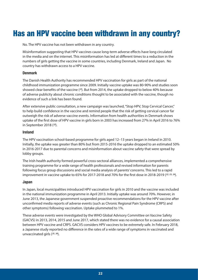### <span id="page-21-0"></span>Has an HPV vaccine been withdrawn in any country?

No. The HPV vaccine has not been withdrawn in any country.

Misinformation suggesting that HPV vaccines cause long-term adverse effects have long circulated in the media and on the internet. This misinformation has led at different times to a reduction in the numbers of girls getting the vaccine in some countries, including Denmark, Ireland and Japan. No country has withdrawn access to a HPV vaccine.

#### **Denmark**

The Danish Health Authority has recommended HPV vaccination for girls as part of the national childhood immunization programme since 2009. Initially vaccine uptake was 80-90% and studies soon showed clear benefits of the vaccine (*21*). But from 2014, the uptake dropped to below 40% because of adverse publicity about chronic conditions thought to be associated with the vaccine, though no evidence of such a link has been found.

After extensive public consultation, a new campaign was launched, "Stop HPV, Stop Cervical Cancer," to help build confidence in the vaccine and remind people that the risk of getting cervical cancer far outweigh the risk of adverse vaccine events. Information from health authorities in Denmark shows uptake of the first dose of HPV vaccine in girls born in 2003 has increased from 27% in April 2016 to 76% in September 2018 (*22*).

#### **Ireland**

The HPV vaccination school-based programme for girls aged 12–13 years began in Ireland in 2010. Initially, the uptake was greater than 80% but from 2015-2016 the uptake dropped to an estimated 50% in 2016-2017 due to parental concerns and misinformation about vaccine safety that were spread by lobby groups.

The Irish health authority formed powerful cross-sectoral alliances, implemented a comprehensive training programme for a wide range of health professionals and revised information for parents following focus group discussions and social media analysis of parents' concerns. This led to a rapid improvement in vaccine uptake to 65% for 2017-2018 and 70% for the first dose in 2018-2019 (*22, 23, 24*).

#### **Japan**

In Japan, local municipalities introduced HPV vaccination for girls in 2010 and the vaccine was included in the national immunization programme in April 2013. Initially uptake was around 70%. However, in June 2013, the Japanese government suspended proactive recommendations for the HPV vaccine after unconfirmed media reports of adverse events (such as Chronic Regional Pain Syndrome (CRPS) and other symptoms) following vaccination. Uptake plummeted to 1%.

These adverse events were investigated by the WHO Global Advisory Committee on Vaccine Safety (GACVS) in 2013, 2014, 2015 and June 2017, which stated there was no evidence for a causal association between HPV vaccine and CRPS. GACVS considers HPV vaccines to be extremely safe. In February 2018, a Japanese study reported no difference in the rates of a wide range of symptoms in vaccinated and unvaccinated girls (*25, 26*).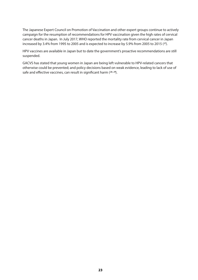The Japanese Expert Council on Promotion of Vaccination and other expert groups continue to actively campaign for the resumption of recommendations for HPV vaccination given the high rates of cervical cancer deaths in Japan. In July 2017, WHO reported the mortality rate from cervical cancer in Japan increased by 3.4% from 1995 to 2005 and is expected to increase by 5.9% from 2005 to 2015 (*27*).

HPV vaccines are available in Japan but to date the government's proactive recommendations are still suspended.

GACVS has stated that young women in Japan are being left vulnerable to HPV-related cancers that otherwise could be prevented; and policy decisions based on weak evidence, leading to lack of use of safe and effective vaccines, can result in significant harm (*28, 29*).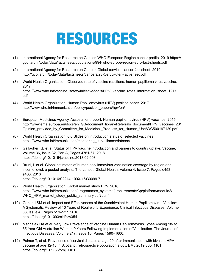# RESOURCES

- <span id="page-23-0"></span>(1) International Agency for Research on Cancer. WHO European Region cancer profile. 2019 [https://](https://gco.iarc.fr/today/data/factsheets/populations/994-who-europe-region-euro-fact-sheets.pdf) [gco.iarc.fr/today/data/factsheets/populations/994-who-europe-region-euro-fact-sheets.pdf](https://gco.iarc.fr/today/data/factsheets/populations/994-who-europe-region-euro-fact-sheets.pdf)
- (2) International Agency for Research on Cancer. Global cervical cancer fact sheet. 2019 <http://gco.iarc.fr/today/data/factsheets/cancers/23-Cervix-uteri-fact-sheet.pdf>
- (3) World Health Organization. Observed rate of vaccine reactions: human papilloma virus vaccine. 2017 [https://www.who.int/vaccine\\_safety/initiative/tools/HPV\\_vaccine\\_rates\\_information\\_sheet\\_1217.](https://www.who.int/vaccine_safety/initiative/tools/HPV_vaccine_rates_information_sheet_1217.pdf) [pdf](https://www.who.int/vaccine_safety/initiative/tools/HPV_vaccine_rates_information_sheet_1217.pdf)
- (4) World Health Organization. Human Papillomavirus (HPV) position paper. 2017 [http://www.who.int/immunization/policy/position\\_papers/hpv/en/](http://www.who.int/immunization/policy/position_papers/hpv/en/)
- (5) European Medicines Agency. Assessment report: Human papillomavirus (HPV) vaccines. 2015 [http://www.ema.europa.eu/docs/en\\_GB/document\\_library/Referrals\\_document/HPV\\_vaccines\\_20/](http://www.ema.europa.eu/docs/en_GB/document_library/Referrals_document/HPV_vaccines_20/Opinion_provided_by_Committee_for_Medicinal_Products_for_Human_Use/WC500197129.pdf) [Opinion\\_provided\\_by\\_Committee\\_for\\_Medicinal\\_Products\\_for\\_Human\\_Use/WC500197129.pdf](http://www.ema.europa.eu/docs/en_GB/document_library/Referrals_document/HPV_vaccines_20/Opinion_provided_by_Committee_for_Medicinal_Products_for_Human_Use/WC500197129.pdf)
- (6) World Health Organization. 6.6 Slides on introduction status of selected vaccines [https://www.who.int/immunization/monitoring\\_surveillance/data/en/](https://www.who.int/immunization/monitoring_surveillance/data/en/)
- (7) Gallagher KE et al. Status of HPV vaccine introduction and barriers to country uptake. Vaccine, Volume 36, Issue 32, Part A, Pages 4761-67. 2018 <https://doi.org/10.1016/j.vaccine.2018.02.003>
- (8) Bruni, L et al. Global estimates of human papillomavirus vaccination coverage by region and income level: a pooled analysis. The Lancet, Global Health, Volume 4, Issue 7, Pages e453 e463. 2016 [https://doi.org/10.1016/S2214-109X\(16\)30099-7](https://doi.org/10.1016/S2214-109X(16)30099-7)
- (9) World Health Organization. Global market study HPV. 2018 [https://www.who.int/immunization/programmes\\_systems/procurement/v3p/platform/module2/](https://www.who.int/immunization/programmes_systems/procurement/v3p/platform/module2/WHO_HPV_market_study_public_summary.pdf?ua=1) [WHO\\_HPV\\_market\\_study\\_public\\_summary.pdf?ua=1](https://www.who.int/immunization/programmes_systems/procurement/v3p/platform/module2/WHO_HPV_market_study_public_summary.pdf?ua=1)
- (10) Garland SM et al. Impact and Effectiveness of the Quadrivalent Human Papillomavirus Vaccine: A Systematic Review of 10 Years of Real-world Experience. Clinical Infectious Diseases, Volume 63, Issue 4, Pages 519–527. 2016 <https://doi.org/10.1093/cid/ciw354>
- (11) Machalek DA et al. Very Low Prevalence of Vaccine Human Papillomavirus Types Among 18- to 35-Year Old Australian Women 9 Years Following Implementation of Vaccination. The Journal of Infectious Diseases, Volume 217, Issue 10, Pages 1590–1600.
- (12) Palmer T, et al. Prevalence of cervical disease at age 20 after immunisation with bivalent HPV vaccine at age 12-13 in Scotland: retrospective population study. BMJ 2019;365:l1161 <https://doi.org/10.1136/bmj.l1161>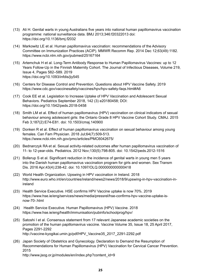- (13) Ali H. Genital warts in young Australians five years into national human papillomavirus vaccination programme: national surveillance data. BMJ 2013;346:f20322013 doi: <https://doi.org/10.1136/bmj.f2032>
- (14) Markowitz LE et al. Human papillomavirus vaccination: recommendations of the Advisory Committee on Immunization Practices (ACIP). MMWR Recomm Rep. 2014 Dec 12;63(49):1182. <https://www.ncbi.nlm.nih.gov/pubmed/25167164>
- (15) Artemchuk H et al. Long-Term Antibody Response to Human Papillomavirus Vaccines: up to 12 Years Follow-Up in the Finnish Maternity Cohort. The Journal of Infectious Diseases, Volume 219, Issue 4, Pages 582–589. 2019 <https://doi.org/10.1093/infdis/jiy545>
- (16) Centers for Disease Control and Prevention. Questions about HPV Vaccine Safety. 2019 https://www.cdc.gov/vaccinesafety/vaccines/hpv/hpv-safety-faqs.html#A6
- (17) Cook EE et al. Legislation to Increase Uptake of HPV Vaccination and Adolescent Sexual Behaviors. Pediatrics September 2018, 142 (3) e20180458; DOI: <https://doi.org/10.1542/peds.2018-0458>
- (18) Smith LM et al. Effect of human papillomavirus (HPV) vaccination on clinical indicators of sexual behaviour among adolescent girls: the Ontario Grade 8 HPV Vaccine Cohort Study. CMAJ. 2015 Feb 3;187(2):E74-E81. doi: 10.1503/cmaj.140900
- (19) Donken R et al. Effect of human papillomavirus vaccination on sexual behaviour among young females. Can Fam Physician. 2018 Jul;64(7):509-513. <https://www.ncbi.nlm.nih.gov/pmc/articles/PMC6042675/>
- (20) Bednarczyk RA et al. Sexual activity-related outcomes after human papillomavirus vaccination of 11- to 12-year-olds. Pediatrics. 2012 Nov;130(5):798-805. doi: 10.1542/peds.2012-1516
- (21) Bollerup S et al. Significant reduction in the incidence of genital warts in young men 5 years into the Danish human papillomavirus vaccination program for girls and women. Sex Transm Dis. 2016 Apr;43(4):238-42. doi: 10.1097/OLQ.0000000000000418
- (22) World Health Organization. Upswing in HPV vaccination in Ireland. 2018 [http://www.euro.who.int/en/countries/ireland/news2/news/2018/9/upswing-in-hpv-vaccination-in](http://www.euro.who.int/en/countries/ireland/news2/news/2018/9/upswing-in-hpv-vaccination-in-ireland)[ireland](http://www.euro.who.int/en/countries/ireland/news2/news/2018/9/upswing-in-hpv-vaccination-in-ireland)
- (23) Health Service Executive. HSE confirms HPV Vaccine uptake is now 70%. 2019 [https://www.hse.ie/eng/services/news/media/pressrel/hse-confirms-hpv-vaccine-uptake-is](https://www.hse.ie/eng/services/news/media/pressrel/hse-confirms-hpv-vaccine-uptake-is-now-70-.html)[now-70-.html](https://www.hse.ie/eng/services/news/media/pressrel/hse-confirms-hpv-vaccine-uptake-is-now-70-.html)
- (24) Health Service Executive. Human Papillomavirus (HPV) Vaccine. 2018 <https://www.hse.ie/eng/health/immunisation/pubinfo/schoolprog/hpv/>
- (25) Satoshi I et al. Consensus statement from 17 relevant Japanese academic societies on the promotion of the human papillomavirus vaccine. [Vaccine](https://www.sciencedirect.com/science/journal/0264410X) [Volume 35, Issue 18](https://www.sciencedirect.com/science/journal/0264410X/35/18), 25 April 2017, Pages 2291-2292 [http://vaccine-kyogikai.umin.jp/pdf/HPV\\_Vaccine35\\_2017\\_2291-2292.pdf](http://vaccine-kyogikai.umin.jp/pdf/HPV_Vaccine35_2017_2291-2292.pdf)
- (26) Japan Society of Obstetrics and Gynecology. Declaration to Demand the Resumption of Recommendations for Human Papillomavirus (HPV) Vaccination for Cervical Cancer Prevention. 2015 [http://www.jsog.or.jp/modules/en/index.php?content\\_id=9](http://www.jsog.or.jp/modules/en/index.php?content_id=9)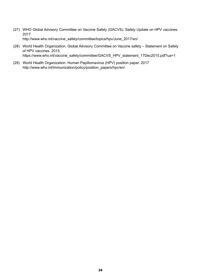- (27) WHO Global Advisory Committee on Vaccine Safety (GACVS). Safety Update on HPV vaccines. 2017 [http://www.who.int/vaccine\\_safety/committee/topics/hpv/June\\_2017/en/](http://www.who.int/vaccine_safety/committee/topics/hpv/June_2017/en/)
- (28) World Health Organization. Global Advisory Committee on Vaccine safety Statement on Safety of HPV vaccines. 2015. [https://www.who.int/vaccine\\_safety/committee/GACVS\\_HPV\\_statement\\_17Dec2015.pdf?ua=1](https://www.who.int/vaccine_safety/committee/GACVS_HPV_statement_17Dec2015.pdf?ua=1)
- (29) World Health Organization. Human Papillomavirus (HPV) position paper. 2017 [http://www.who.int/immunization/policy/position\\_papers/hpv/en/](http://www.who.int/immunization/policy/position_papers/hpv/en/)